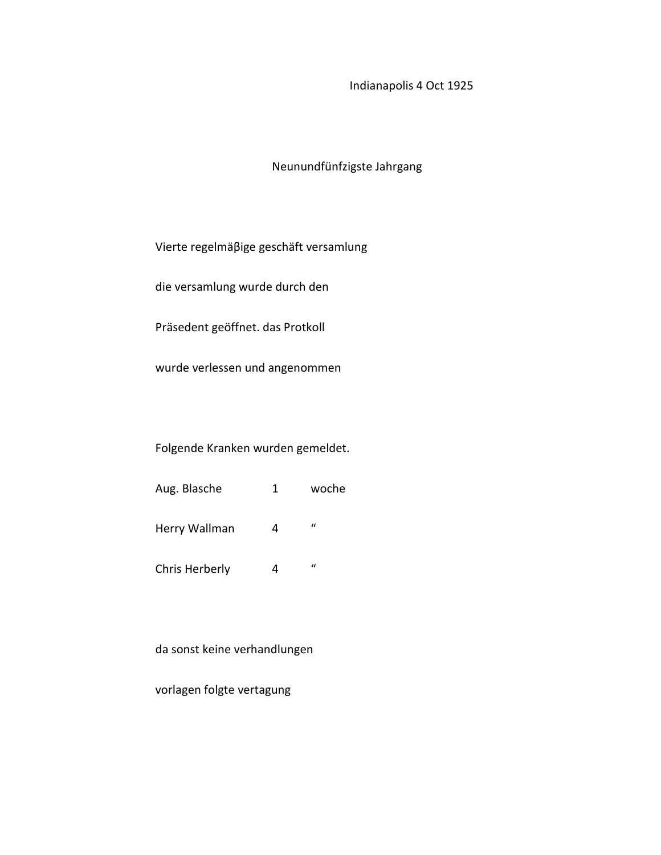# Indianapolis 4 Oct 1925

# Neunundfünfzigste Jahrgang

Vierte regelmäβige geschäft versamlung

die versamlung wurde durch den

Präsedent geöffnet. das Protkoll

wurde verlessen und angenommen

Folgende Kranken wurden gemeldet.

| Aug. Blasche | woche |
|--------------|-------|
|              |       |

Herry Wallman  $4$  "

Chris Herberly 4 "

da sonst keine verhandlungen

vorlagen folgte vertagung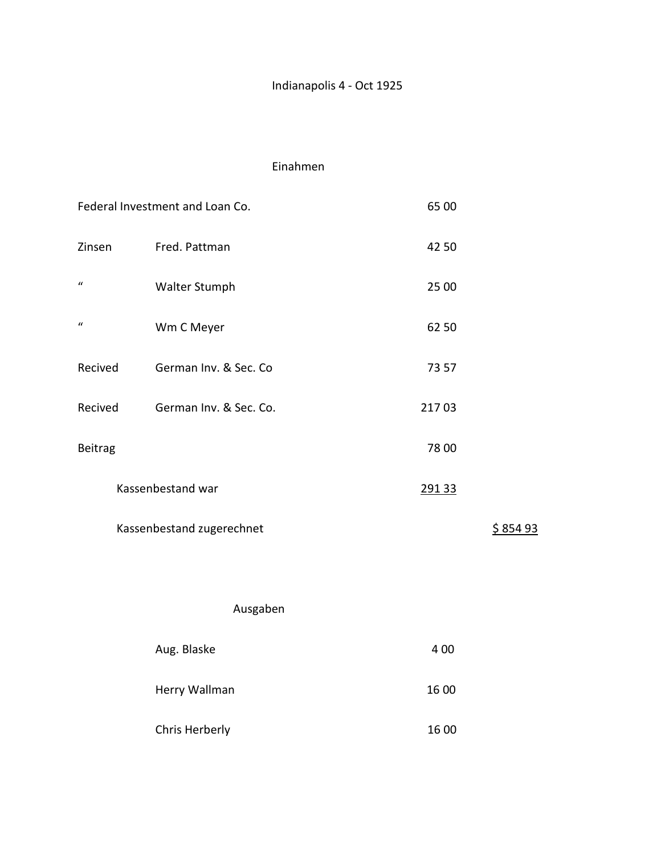# Indianapolis 4 - Oct 1925

### Einahmen

|                  | Federal Investment and Loan Co. | 65 00 |         |
|------------------|---------------------------------|-------|---------|
| Zinsen           | Fred. Pattman                   | 42 50 |         |
| $\boldsymbol{u}$ | Walter Stumph                   | 25 00 |         |
| $\boldsymbol{u}$ | Wm C Meyer                      | 62 50 |         |
| Recived          | German Inv. & Sec. Co           | 73 57 |         |
| Recived          | German Inv. & Sec. Co.          | 21703 |         |
| <b>Beitrag</b>   |                                 | 78 00 |         |
|                  | Kassenbestand war               | 29133 |         |
|                  | Kassenbestand zugerechnet       |       | \$85493 |
|                  |                                 |       |         |
|                  | Ausgaben                        |       |         |
|                  | Aug. Blaske                     | 400   |         |
|                  | Herry Wallman                   | 16 00 |         |
|                  | Chris Herberly                  | 16 00 |         |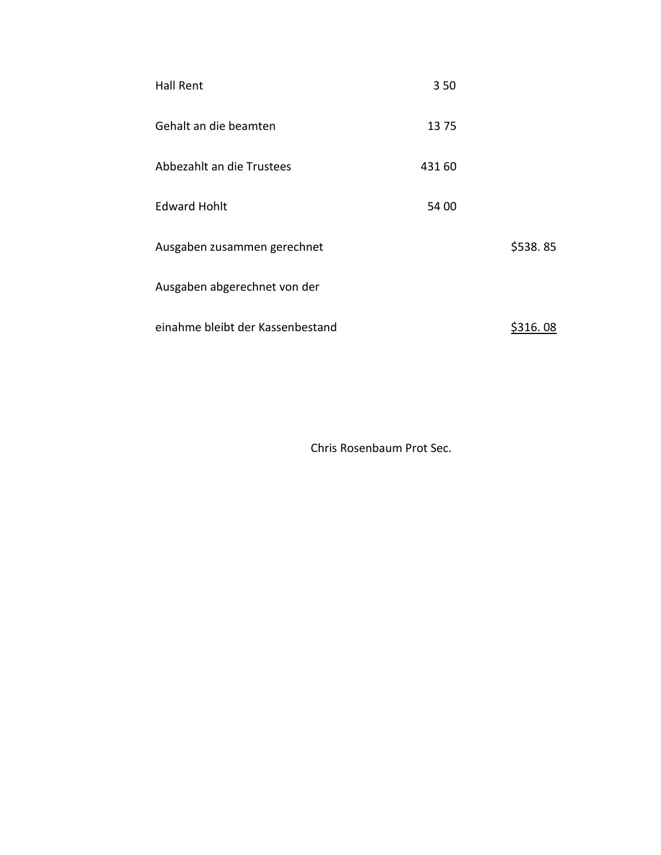| <b>Hall Rent</b>                 | 350    |          |
|----------------------------------|--------|----------|
| Gehalt an die beamten            | 1375   |          |
| Abbezahlt an die Trustees        | 431 60 |          |
| <b>Edward Hohlt</b>              | 54 00  |          |
| Ausgaben zusammen gerechnet      |        | \$538.85 |
| Ausgaben abgerechnet von der     |        |          |
| einahme bleibt der Kassenbestand |        | \$316.08 |

Chris Rosenbaum Prot Sec.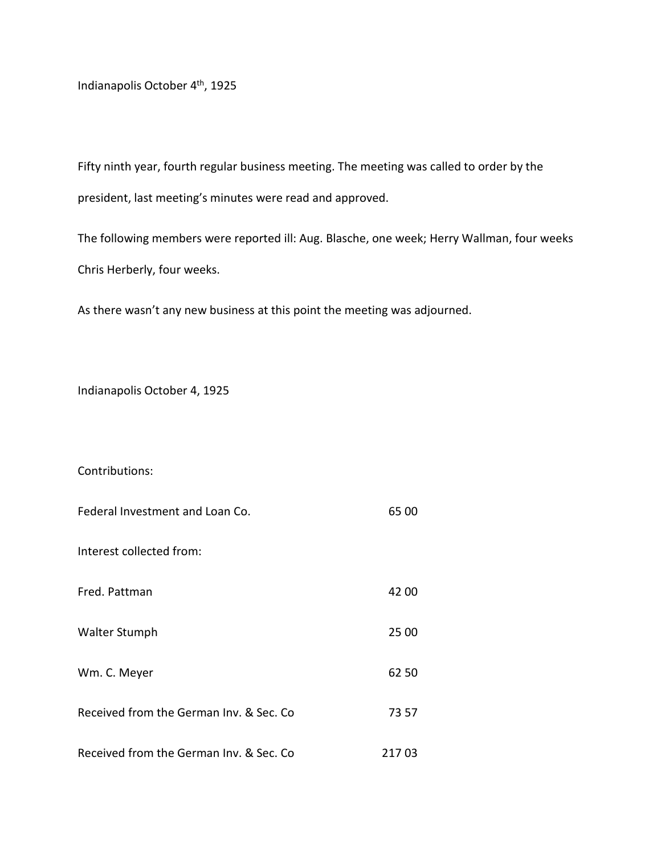Indianapolis October 4th, 1925

Fifty ninth year, fourth regular business meeting. The meeting was called to order by the president, last meeting's minutes were read and approved.

The following members were reported ill: Aug. Blasche, one week; Herry Wallman, four weeks Chris Herberly, four weeks.

As there wasn't any new business at this point the meeting was adjourned.

Indianapolis October 4, 1925

#### Contributions:

| Federal Investment and Loan Co.          | 65 00 |
|------------------------------------------|-------|
| Interest collected from:                 |       |
| Fred. Pattman                            | 42 00 |
| Walter Stumph                            | 25 00 |
| Wm. C. Meyer                             | 62 50 |
| Received from the German Inv. & Sec. Co. | 73 57 |
| Received from the German Inv. & Sec. Co. | 21703 |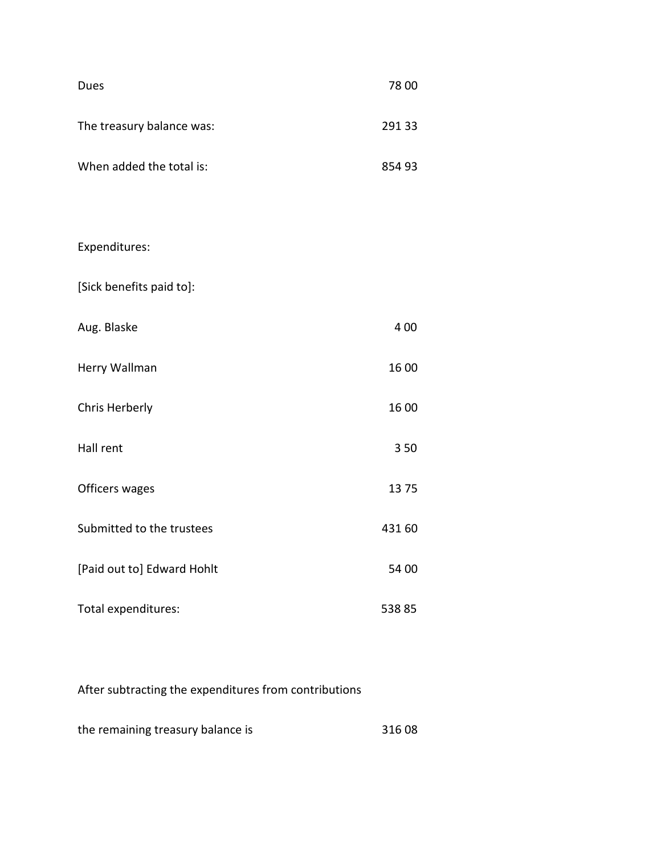| Dues                      | 78 00  |
|---------------------------|--------|
| The treasury balance was: | 291 33 |
| When added the total is:  | 854 93 |

# Expenditures:

[Sick benefits paid to]:

| Aug. Blaske   | 4 0 0 |
|---------------|-------|
| Herry Wallman | 16 00 |

Chris Herberly 16 00

Hall rent 3 50

Officers wages 13 75

Submitted to the trustees 431 60

[Paid out to] Edward Hohlt 54 00

Total expenditures: 538 85

# After subtracting the expenditures from contributions

the remaining treasury balance is 316 08